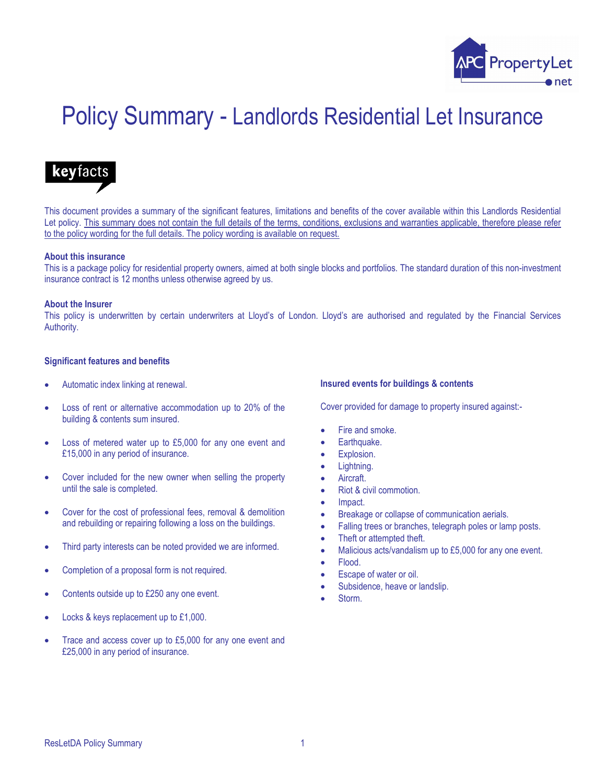

# Policy Summary - Landlords Residential Let Insurance

## keyfacts

This document provides a summary of the significant features, limitations and benefits of the cover available within this Landlords Residential Let policy. This summary does not contain the full details of the terms, conditions, exclusions and warranties applicable, therefore please refer to the policy wording for the full details. The policy wording is available on request.

#### About this insurance

This is a package policy for residential property owners, aimed at both single blocks and portfolios. The standard duration of this non-investment insurance contract is 12 months unless otherwise agreed by us.

#### About the Insurer

This policy is underwritten by certain underwriters at Lloyd's of London. Lloyd's are authorised and regulated by the Financial Services Authority.

#### Significant features and benefits

- Automatic index linking at renewal.
- Loss of rent or alternative accommodation up to 20% of the building & contents sum insured.
- Loss of metered water up to £5,000 for any one event and £15,000 in any period of insurance.
- Cover included for the new owner when selling the property until the sale is completed.
- Cover for the cost of professional fees, removal & demolition and rebuilding or repairing following a loss on the buildings.
- Third party interests can be noted provided we are informed.
- Completion of a proposal form is not required.
- Contents outside up to £250 any one event.
- Locks & keys replacement up to £1,000.
- Trace and access cover up to £5,000 for any one event and £25,000 in any period of insurance.

#### Insured events for buildings & contents

Cover provided for damage to property insured against:-

- Fire and smoke.
- Earthquake.
- Explosion.
- Lightning.
- **Aircraft**
- Riot & civil commotion.
- Impact.
- Breakage or collapse of communication aerials.
- Falling trees or branches, telegraph poles or lamp posts.
- Theft or attempted theft.
- Malicious acts/vandalism up to £5,000 for any one event.
- Flood.
- Escape of water or oil.
- Subsidence, heave or landslip.
- Storm.